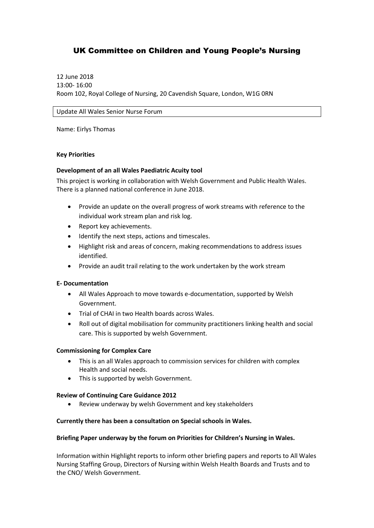## UK Committee on Children and Young People's Nursing

12 June 2018 13:00- 16:00 Room 102, Royal College of Nursing, 20 Cavendish Square, London, W1G 0RN

Update All Wales Senior Nurse Forum

Name: Eirlys Thomas

#### **Key Priorities**

#### **Development of an all Wales Paediatric Acuity tool**

This project is working in collaboration with Welsh Government and Public Health Wales. There is a planned national conference in June 2018.

- Provide an update on the overall progress of work streams with reference to the individual work stream plan and risk log.
- Report key achievements.
- $\bullet$  Identify the next steps, actions and timescales.
- Highlight risk and areas of concern, making recommendations to address issues identified.
- Provide an audit trail relating to the work undertaken by the work stream

#### **E- Documentation**

- All Wales Approach to move towards e-documentation, supported by Welsh Government.
- Trial of CHAI in two Health boards across Wales.
- Roll out of digital mobilisation for community practitioners linking health and social care. This is supported by welsh Government.

#### **Commissioning for Complex Care**

- This is an all Wales approach to commission services for children with complex Health and social needs.
- This is supported by welsh Government.

#### **Review of Continuing Care Guidance 2012**

Review underway by welsh Government and key stakeholders

#### **Currently there has been a consultation on Special schools in Wales.**

#### **Briefing Paper underway by the forum on Priorities for Children's Nursing in Wales.**

Information within Highlight reports to inform other briefing papers and reports to All Wales Nursing Staffing Group, Directors of Nursing within Welsh Health Boards and Trusts and to the CNO/ Welsh Government.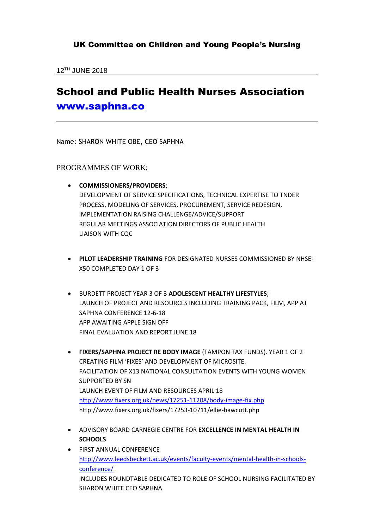12TH JUNE 2018

## School and Public Health Nurses Association [www.saphna.co](http://www.saphna.co/)

Name: SHARON WHITE OBE, CEO SAPHNA

### PROGRAMMES OF WORK;

- **COMMISSIONERS/PROVIDERS**; DEVELOPMENT OF SERVICE SPECIFICATIONS, TECHNICAL EXPERTISE TO TNDER PROCESS, MODELING OF SERVICES, PROCUREMENT, SERVICE REDESIGN, IMPLEMENTATION RAISING CHALLENGE/ADVICE/SUPPORT REGULAR MEETINGS ASSOCIATION DIRECTORS OF PUBLIC HEALTH LIAISON WITH CQC
- **PILOT LEADERSHIP TRAINING** FOR DESIGNATED NURSES COMMISSIONED BY NHSE-X50 COMPLETED DAY 1 OF 3
- BURDETT PROJECT YEAR 3 OF 3 **ADOLESCENT HEALTHY LIFESTYLES**; LAUNCH OF PROJECT AND RESOURCES INCLUDING TRAINING PACK, FILM, APP AT SAPHNA CONFERENCE 12-6-18 APP AWAITING APPLE SIGN OFF FINAL EVALUATION AND REPORT JUNE 18
- **FIXERS/SAPHNA PROJECT RE BODY IMAGE** (TAMPON TAX FUNDS). YEAR 1 OF 2 CREATING FILM 'FIXES' AND DEVELOPMENT OF MICROSITE. FACILITATION OF X13 NATIONAL CONSULTATION EVENTS WITH YOUNG WOMEN SUPPORTED BY SN LAUNCH EVENT OF FILM AND RESOURCES APRIL 18 <http://www.fixers.org.uk/news/17251-11208/body-image-fix.php> http://www.fixers.org.uk/fixers/17253-10711/ellie-hawcutt.php
- ADVISORY BOARD CARNEGIE CENTRE FOR **EXCELLENCE IN MENTAL HEALTH IN SCHOOLS**
- **FIRST ANNUAL CONFERENCE** [http://www.leedsbeckett.ac.uk/events/faculty-events/mental-health-in-schools](http://www.leedsbeckett.ac.uk/events/faculty-events/mental-health-in-schools-conference/)[conference/](http://www.leedsbeckett.ac.uk/events/faculty-events/mental-health-in-schools-conference/) INCLUDES ROUNDTABLE DEDICATED TO ROLE OF SCHOOL NURSING FACILITATED BY SHARON WHITE CEO SAPHNA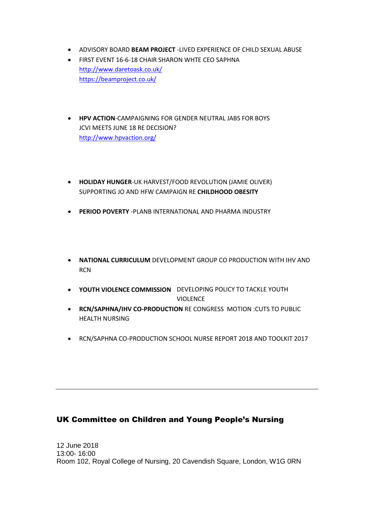- ADVISORY BOARD **BEAM PROJECT** -LIVED EXPERIENCE OF CHILD SEXUAL ABUSE
- **FIRST EVENT 16-6-18 CHAIR SHARON WHTE CEO SAPHNA** <http://www.daretoask.co.uk/> <https://beamproject.co.uk/>
- **HPV ACTION-CAMPAIGNING FOR GENDER NEUTRAL JABS FOR BOYS** JCVI MEETS JUNE 18 RE DECISION? <http://www.hpvaction.org/>
- **HOLIDAY HUNGER**-UK HARVEST/FOOD REVOLUTION (JAMIE OLIVER) SUPPORTING JO AND HFW CAMPAIGN RE **CHILDHOOD OBESITY**
- **PERIOD POVERTY** -PLANB INTERNATIONAL AND PHARMA INDUSTRY
- **NATIONAL CURRICULUM** DEVELOPMENT GROUP CO PRODUCTION WITH IHV AND **RCN**
- **YOUTH VIOLENCE COMMISSION** DEVELOPING POLICY TO TACKLE YOUTH **VIOLENCE**
- **RCN/SAPHNA/IHV CO-PRODUCTION** RE CONGRESS MOTION :CUTS TO PUBLIC HEALTH NURSING
- RCN/SAPHNA CO-PRODUCTION SCHOOL NURSE REPORT 2018 AND TOOLKIT 2017

### UK Committee on Children and Young People's Nursing

12 June 2018 13:00- 16:00 Room 102, Royal College of Nursing, 20 Cavendish Square, London, W1G 0RN